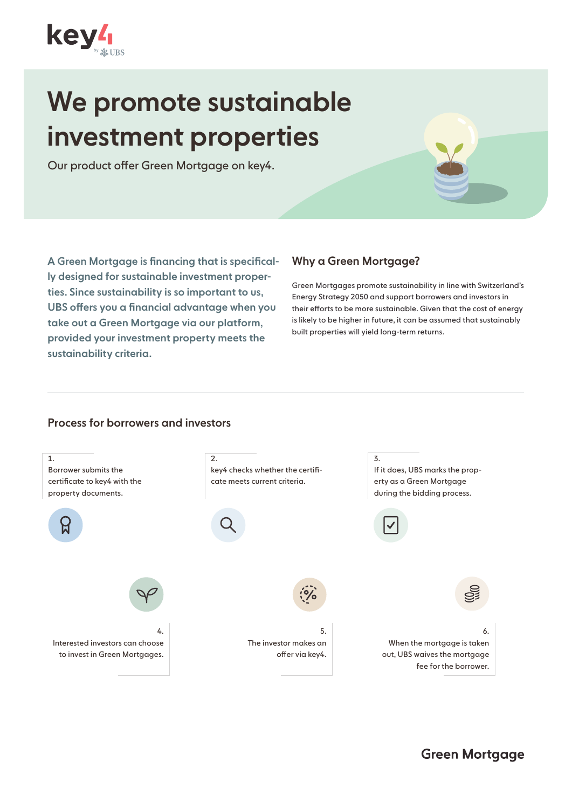

# We promote sustainable investment properties

Our product offer Green Mortgage on key4.

A Green Mortgage is financing that is specifically designed for sustainable investment properties. Since sustainability is so important to us, UBS offers you a financial advantage when you take out a Green Mortgage via our platform, provided your investment property meets the sustainability criteria.

# Why a Green Mortgage?

Green Mortgages promote sustainability in line with Switzerland's Energy Strategy 2050 and support borrowers and investors in their efforts to be more sustainable. Given that the cost of energy is likely to be higher in future, it can be assumed that sustainably built properties will yield long-term returns.

# Process for borrowers and investors